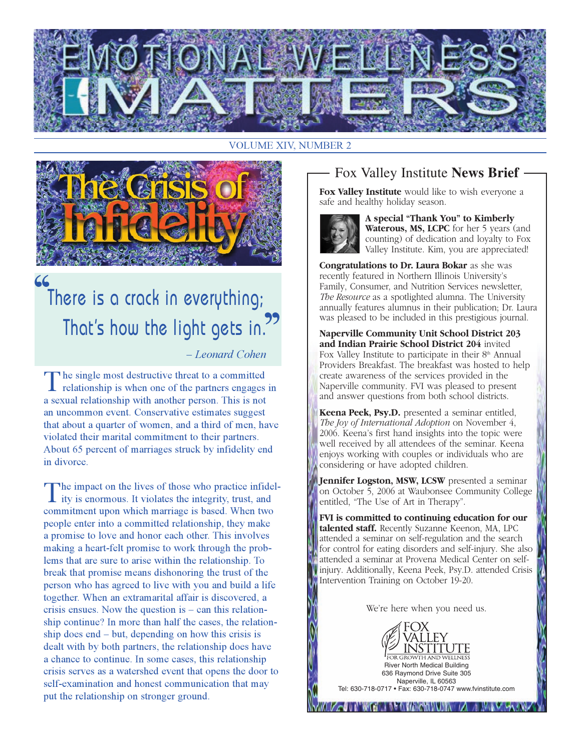

#### VOLUME XIV, NUMBER 2



# Ihere is a crack in everything; That's how the light gets in.  $rac{1}{\sqrt{1}}$ **2**

#### $-I.eonard Cohen$

 $\blacksquare$  he single most destructive threat to a committed relationship is when one of the partners engages in a sexual relationship with another person. This is not an uncommon event. Conservative estimates suggest that about a quarter of women, and a third of men, have violated their marital commitment to their partners. About 65 percent of marriages struck by infidelity end in divorce.

The impact on the lives of those who practice infidelity is enormous. It violates the integrity, trust, and commitment upon which marriage is based. When two people enter into a committed relationship, they make a promise to love and honor each other. This involves making a heart-felt promise to work through the problems that are sure to arise within the relationship. To break that promise means dishonoring the trust of the person who has agreed to live with you and build a life together. When an extramarital affair is discovered, a crisis ensues. Now the question is  $-$  can this relationship continue? In more than half the cases, the relationship does end  $-$  but, depending on how this crisis is dealt with by both partners, the relationship does have a chance to continue. In some cases, this relationship crisis serves as a watershed event that opens the door to self-examination and honest communication that may put the relationship on stronger ground.

# Fox Valley Institute **News Brief**

**Fox Valley Institute** would like to wish everyone a safe and healthy holiday season.



**A special "Thank You" to Kimberly Waterous, MS, LCPC** for her 5 years (and counting) of dedication and loyalty to Fox Valley Institute. Kim, you are appreciated!

**Congratulations to Dr. Laura Bokar** as she was recently featured in Northern Illinois University's Family, Consumer, and Nutrition Services newsletter, *The Resource* as a spotlighted alumna. The University annually features alumnus in their publication; Dr. Laura was pleased to be included in this prestigious journal.

**Naperville Community Unit School District 203 and Indian Prairie School District 204** invited Fox Valley Institute to participate in their 8<sup>th</sup> Annual Providers Breakfast. The breakfast was hosted to help create awareness of the services provided in the Naperville community. FVI was pleased to present and answer questions from both school districts.

**Keena Peek, Psy.D.** presented a seminar entitled, *The Joy of International Adoption* on November 4, 2006. Keena's first hand insights into the topic were well received by all attendees of the seminar. Keena enjoys working with couples or individuals who are considering or have adopted children.

**Jennifer Logston, MSW, LCSW** presented a seminar on October 5, 2006 at Waubonsee Community College entitled, "The Use of Art in Therapy".

**FVI is committed to continuing education for our talented staff.** Recently Suzanne Keenon, MA, LPC attended a seminar on self-regulation and the search for control for eating disorders and self-injury. She also attended a seminar at Provena Medical Center on selfinjury. Additionally, Keena Peek, Psy.D. attended Crisis Intervention Training on October 19-20.

We're here when you need us.

River North Medical Building 636 Raymond Drive Suite 305 Naperville, IL 60563 Tel: 630-718-0717 • Fax: 630-718-0747 www.fvinstitute.com

*HAWARA W* **VMA**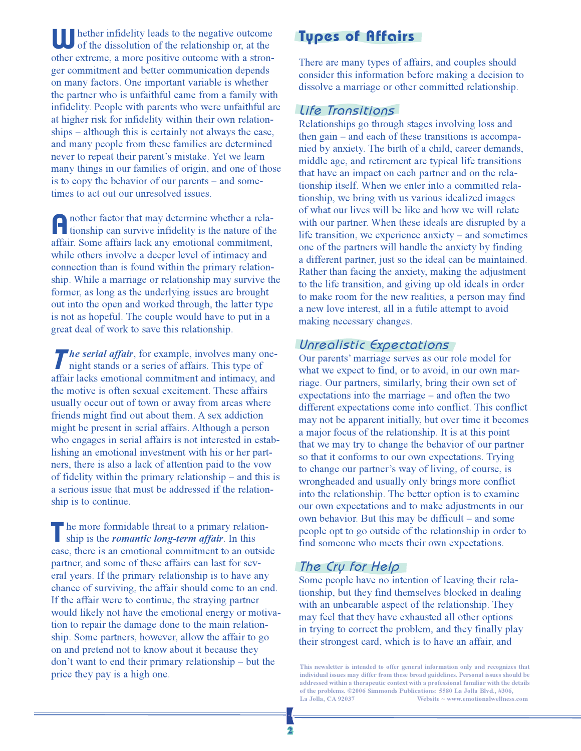**Example 12** hether infidelity leads to the negative outcome of the dissolution of the relationship or, at the other extreme, a more positive outcome with a stronger commitment and better communication depends on many factors. One important variable is whether the partner who is unfaithful came from a family with infidelity. People with parents who were unfaithful are at higher risk for infidelity within their own relationships – although this is certainly not always the case, and many people from these families are determined never to repeat their parent's mistake. Yet we learn many things in our families of origin, and one of those is to copy the behavior of our parents – and sometimes to act out our unresolved issues.

nother factor that may determine whether a rela-A tionship can survive infidelity is the nature of the affair. Some affairs lack any emotional commitment, while others involve a deeper level of intimacy and connection than is found within the primary relationship. While a marriage or relationship may survive the former, as long as the underlying issues are brought out into the open and worked through, the latter type is not as hopeful. The couple would have to put in a great deal of work to save this relationship.

*he serial affair*, for example, involves many onenight stands or a series of affairs. This type of affair lacks emotional commitment and intimacy, and the motive is often sexual excitement. These affairs usually occur out of town or away from areas where friends might find out about them. A sex addiction might be present in serial affairs. Although a person who engages in serial affairs is not interested in establishing an emotional investment with his or her partners, there is also a lack of attention paid to the vow of fidelity within the primary relationship  $-$  and this is a serious issue that must be addressed if the relationship is to continue.

The more formidable threat to a primary relation-<br>ship is the *romantic long-term affair*. In this case, there is an emotional commitment to an outside partner, and some of these affairs can last for several years. If the primary relationship is to have any chance of surviving, the affair should come to an end. If the affair were to continue, the straying partner would likely not have the emotional energy or motivation to repair the damage done to the main relationship. Some partners, however, allow the affair to go on and pretend not to know about it because they don't want to end their primary relationship – but the price they pay is a high one.

# **Tupes of Affairs**

There are many types of affairs, and couples should consider this information before making a decision to dissolve a marriage or other committed relationship.

#### Life Transitions

Relationships go through stages involving loss and then gain – and each of these transitions is accompanied by anxiety. The birth of a child, career demands, middle age, and retirement are typical life transitions that have an impact on each partner and on the relationship itself. When we enter into a committed relationship, we bring with us various idealized images of what our lives will be like and how we will relate with our partner. When these ideals are disrupted by a life transition, we experience anxiety – and sometimes one of the partners will handle the anxiety by finding a different partner, just so the ideal can be maintained. Rather than facing the anxiety, making the adjustment to the life transition, and giving up old ideals in order to make room for the new realities, a person may find a new love interest, all in a futile attempt to avoid making necessary changes.

#### Unrealistic Expectations

Our parents' marriage serves as our role model for what we expect to find, or to avoid, in our own marriage. Our partners, similarly, bring their own set of expectations into the marriage – and often the two different expectations come into conflict. This conflict may not be apparent initially, but over time it becomes a major focus of the relationship. It is at this point that we may try to change the behavior of our partner so that it conforms to our own expectations. Trying to change our partner's way of living, of course, is wrongheaded and usually only brings more conflict into the relationship. The better option is to examine our own expectations and to make adjustments in our own behavior. But this may be difficult – and some people opt to go outside of the relationship in order to find someone who meets their own expectations.

# The Cry for Help

Some people have no intention of leaving their relationship, but they find themselves blocked in dealing with an unbearable aspect of the relationship. They may feel that they have exhausted all other options in trying to correct the problem, and they finally play their strongest card, which is to have an affair, and

This newsletter is intended to offer general information only and recognizes that individual issues may differ from these broad guidelines. Personal issues should be addressed within a therapeutic context with a professional familiar with the details of the problems. ©2006 Simmonds Publications: 5580 La Jolla Blvd., #306, La Jolla, CA 92037 Website  $\sim$  www.emotionalwellness.com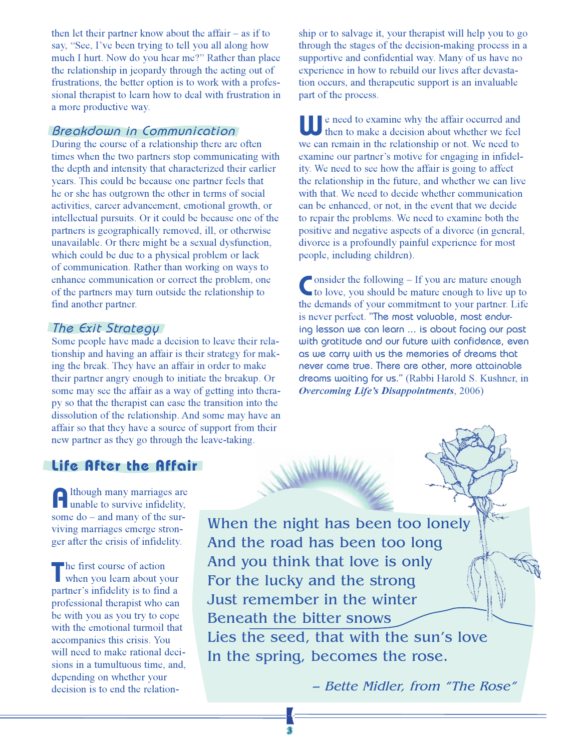then let their partner know about the affair  $-$  as if to say, "See, I've been trying to tell you all along how much I hurt. Now do you hear me?" Rather than place the relationship in jeopardy through the acting out of frustrations, the better option is to work with a professional therapist to learn how to deal with frustration in a more productive way.

#### Breakdown in Communication

During the course of a relationship there are often times when the two partners stop communicating with the depth and intensity that characterized their earlier years. This could be because one partner feels that he or she has outgrown the other in terms of social activities, career advancement, emotional growth, or intellectual pursuits. Or it could be because one of the partners is geographically removed, ill, or otherwise unavailable. Or there might be a sexual dysfunction, which could be due to a physical problem or lack of communication. Rather than working on ways to enhance communication or correct the problem, one of the partners may turn outside the relationship to find another partner.

#### The Exit Strategy

Some people have made a decision to leave their relationship and having an affair is their strategy for making the break. They have an affair in order to make their partner angry enough to initiate the breakup. Or some may see the affair as a way of getting into therapy so that the therapist can ease the transition into the dissolution of the relationship. And some may have an affair so that they have a source of support from their new partner as they go through the leave-taking.

ship or to salvage it, your therapist will help you to go through the stages of the decision-making process in a supportive and confidential way. Many of us have no experience in how to rebuild our lives after devastation occurs, and therapeutic support is an invaluable part of the process.

then to make a decision about whether we feel we can remain in the relationship or not. We need to examine our partner's motive for engaging in infidelity. We need to see how the affair is going to affect the relationship in the future, and whether we can live with that. We need to decide whether communication can be enhanced, or not, in the event that we decide to repair the problems. We need to examine both the positive and negative aspects of a divorce (in general, divorce is a profoundly painful experience for most people, including children).

 $\blacksquare$  onsider the following – If you are mature enough  $\blacksquare$  to love, you should be mature enough to live up to the demands of your commitment to your partner. Life is never perfect. "The most valuable, most enduring lesson we can learn ... is about facing our past with gratitude and our future with confidence, even as we carry with us the memories of dreams that never come true. There are other, more attainable dreams waiting for us." (Rabbi Harold S. Kushner, in **Overcoming Life's Disappointments**, 2006)

# **Life After the Affair**

**C** lthough many marriages are<br>unable to survive infidelity, some do – and many of the surviving marriages emerge stronger after the crisis of infidelity.

The first course of action when you learn about your partner's infidelity is to find a professional therapist who can be with you as you try to cope with the emotional turmoil that accompanies this crisis. You will need to make rational decisions in a tumultuous time, and, depending on whether your decision is to end the relationWhen the night has been too lonely And the road has been too long And you think that love is only For the lucky and the strong Just remember in the winter Beneath the bitter snows Lies the seed, that with the sun's love In the spring, becomes the rose.

- Bette Midler, from "The Rose"